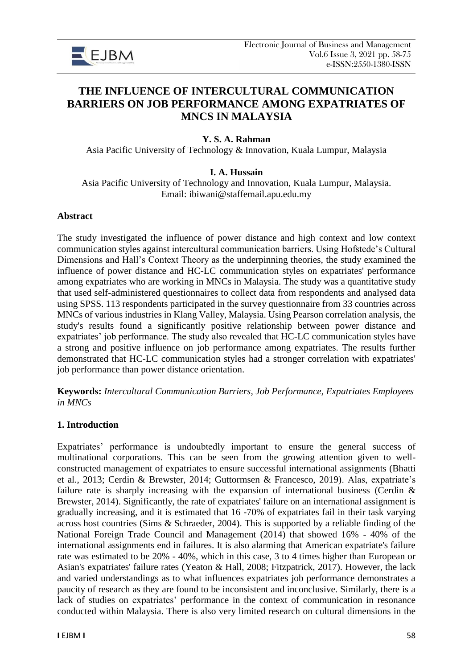

# **THE INFLUENCE OF INTERCULTURAL COMMUNICATION BARRIERS ON JOB PERFORMANCE AMONG EXPATRIATES OF MNCS IN MALAYSIA**

## **Y. S. A. Rahman**

Asia Pacific University of Technology & Innovation, Kuala Lumpur, Malaysia

## **I. A. Hussain**

Asia Pacific University of Technology and Innovation, Kuala Lumpur, Malaysia. Email: ibiwani@staffemail.apu.edu.my

#### **Abstract**

The study investigated the influence of power distance and high context and low context communication styles against intercultural communication barriers. Using Hofstede's Cultural Dimensions and Hall's Context Theory as the underpinning theories, the study examined the influence of power distance and HC-LC communication styles on expatriates' performance among expatriates who are working in MNCs in Malaysia. The study was a quantitative study that used self-administered questionnaires to collect data from respondents and analysed data using SPSS. 113 respondents participated in the survey questionnaire from 33 countries across MNCs of various industries in Klang Valley, Malaysia. Using Pearson correlation analysis, the study's results found a significantly positive relationship between power distance and expatriates' job performance. The study also revealed that HC-LC communication styles have a strong and positive influence on job performance among expatriates. The results further demonstrated that HC-LC communication styles had a stronger correlation with expatriates' job performance than power distance orientation.

**Keywords:** *Intercultural Communication Barriers, Job Performance, Expatriates Employees in MNCs*

#### **1. Introduction**

Expatriates' performance is undoubtedly important to ensure the general success of multinational corporations. This can be seen from the growing attention given to wellconstructed management of expatriates to ensure successful international assignments (Bhatti et al., 2013; Cerdin & Brewster, 2014; Guttormsen & Francesco, 2019). Alas, expatriate's failure rate is sharply increasing with the expansion of international business (Cerdin  $\&$ Brewster, 2014). Significantly, the rate of expatriates' failure on an international assignment is gradually increasing, and it is estimated that 16 -70% of expatriates fail in their task varying across host countries (Sims & Schraeder, 2004). This is supported by a reliable finding of the National Foreign Trade Council and Management (2014) that showed 16% - 40% of the international assignments end in failures. It is also alarming that American expatriate's failure rate was estimated to be 20% - 40%, which in this case, 3 to 4 times higher than European or Asian's expatriates' failure rates (Yeaton & Hall, 2008; Fitzpatrick, 2017). However, the lack and varied understandings as to what influences expatriates job performance demonstrates a paucity of research as they are found to be inconsistent and inconclusive. Similarly, there is a lack of studies on expatriates' performance in the context of communication in resonance conducted within Malaysia. There is also very limited research on cultural dimensions in the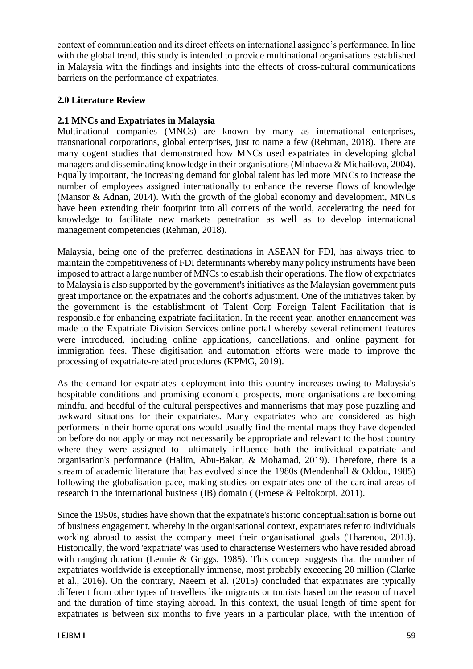context of communication and its direct effects on international assignee's performance. In line with the global trend, this study is intended to provide multinational organisations established in Malaysia with the findings and insights into the effects of cross-cultural communications barriers on the performance of expatriates.

# **2.0 Literature Review**

# **2.1 MNCs and Expatriates in Malaysia**

Multinational companies (MNCs) are known by many as international enterprises, transnational corporations, global enterprises, just to name a few (Rehman, 2018). There are many cogent studies that demonstrated how MNCs used expatriates in developing global managers and disseminating knowledge in their organisations (Minbaeva & Michailova, 2004). Equally important, the increasing demand for global talent has led more MNCs to increase the number of employees assigned internationally to enhance the reverse flows of knowledge (Mansor & Adnan, 2014). With the growth of the global economy and development, MNCs have been extending their footprint into all corners of the world, accelerating the need for knowledge to facilitate new markets penetration as well as to develop international management competencies (Rehman, 2018).

Malaysia, being one of the preferred destinations in ASEAN for FDI, has always tried to maintain the competitiveness of FDI determinants whereby many policy instruments have been imposed to attract a large number of MNCs to establish their operations. The flow of expatriates to Malaysia is also supported by the government's initiatives as the Malaysian government puts great importance on the expatriates and the cohort's adjustment. One of the initiatives taken by the government is the establishment of Talent Corp Foreign Talent Facilitation that is responsible for enhancing expatriate facilitation. In the recent year, another enhancement was made to the Expatriate Division Services online portal whereby several refinement features were introduced, including online applications, cancellations, and online payment for immigration fees. These digitisation and automation efforts were made to improve the processing of expatriate-related procedures (KPMG, 2019).

As the demand for expatriates' deployment into this country increases owing to Malaysia's hospitable conditions and promising economic prospects, more organisations are becoming mindful and heedful of the cultural perspectives and mannerisms that may pose puzzling and awkward situations for their expatriates. Many expatriates who are considered as high performers in their home operations would usually find the mental maps they have depended on before do not apply or may not necessarily be appropriate and relevant to the host country where they were assigned to—ultimately influence both the individual expatriate and organisation's performance (Halim, Abu-Bakar, & Mohamad, 2019). Therefore, there is a stream of academic literature that has evolved since the 1980s (Mendenhall & Oddou, 1985) following the globalisation pace, making studies on expatriates one of the cardinal areas of research in the international business (IB) domain ( (Froese & Peltokorpi, 2011).

Since the 1950s, studies have shown that the expatriate's historic conceptualisation is borne out of business engagement, whereby in the organisational context, expatriates refer to individuals working abroad to assist the company meet their organisational goals (Tharenou, 2013). Historically, the word 'expatriate' was used to characterise Westerners who have resided abroad with ranging duration (Lennie & Griggs, 1985). This concept suggests that the number of expatriates worldwide is exceptionally immense, most probably exceeding 20 million (Clarke et al., 2016). On the contrary, Naeem et al. (2015) concluded that expatriates are typically different from other types of travellers like migrants or tourists based on the reason of travel and the duration of time staying abroad. In this context, the usual length of time spent for expatriates is between six months to five years in a particular place, with the intention of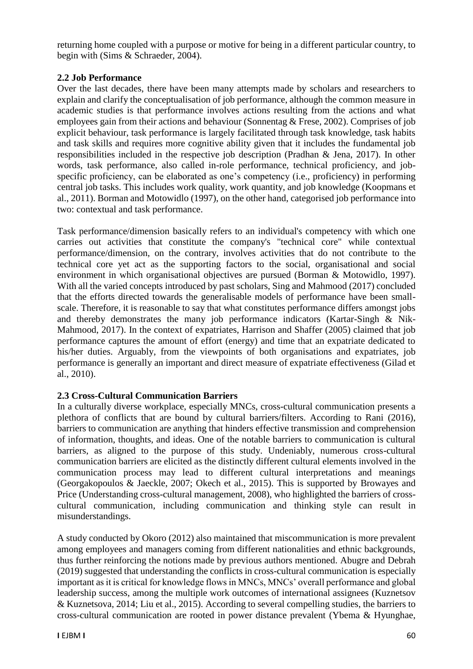returning home coupled with a purpose or motive for being in a different particular country, to begin with (Sims & Schraeder, 2004).

## **2.2 Job Performance**

Over the last decades, there have been many attempts made by scholars and researchers to explain and clarify the conceptualisation of job performance, although the common measure in academic studies is that performance involves actions resulting from the actions and what employees gain from their actions and behaviour (Sonnentag & Frese, 2002). Comprises of job explicit behaviour, task performance is largely facilitated through task knowledge, task habits and task skills and requires more cognitive ability given that it includes the fundamental job responsibilities included in the respective job description (Pradhan & Jena, 2017). In other words, task performance, also called in-role performance, technical proficiency, and jobspecific proficiency, can be elaborated as one's competency (i.e., proficiency) in performing central job tasks. This includes work quality, work quantity, and job knowledge (Koopmans et al., 2011). Borman and Motowidlo (1997), on the other hand, categorised job performance into two: contextual and task performance.

Task performance/dimension basically refers to an individual's competency with which one carries out activities that constitute the company's "technical core" while contextual performance/dimension, on the contrary, involves activities that do not contribute to the technical core yet act as the supporting factors to the social, organisational and social environment in which organisational objectives are pursued (Borman & Motowidlo, 1997). With all the varied concepts introduced by past scholars, Sing and Mahmood (2017) concluded that the efforts directed towards the generalisable models of performance have been smallscale. Therefore, it is reasonable to say that what constitutes performance differs amongst jobs and thereby demonstrates the many job performance indicators (Kartar-Singh & Nik-Mahmood, 2017). In the context of expatriates, Harrison and Shaffer (2005) claimed that job performance captures the amount of effort (energy) and time that an expatriate dedicated to his/her duties. Arguably, from the viewpoints of both organisations and expatriates, job performance is generally an important and direct measure of expatriate effectiveness (Gilad et al., 2010).

# **2.3 Cross-Cultural Communication Barriers**

In a culturally diverse workplace, especially MNCs, cross-cultural communication presents a plethora of conflicts that are bound by cultural barriers/filters. According to Rani (2016), barriers to communication are anything that hinders effective transmission and comprehension of information, thoughts, and ideas. One of the notable barriers to communication is cultural barriers, as aligned to the purpose of this study. Undeniably, numerous cross-cultural communication barriers are elicited as the distinctly different cultural elements involved in the communication process may lead to different cultural interpretations and meanings (Georgakopoulos & Jaeckle, 2007; Okech et al., 2015). This is supported by Browayes and Price (Understanding cross-cultural management, 2008), who highlighted the barriers of crosscultural communication, including communication and thinking style can result in misunderstandings.

A study conducted by Okoro (2012) also maintained that miscommunication is more prevalent among employees and managers coming from different nationalities and ethnic backgrounds, thus further reinforcing the notions made by previous authors mentioned. Abugre and Debrah (2019) suggested that understanding the conflicts in cross-cultural communication is especially important as it is critical for knowledge flows in MNCs, MNCs' overall performance and global leadership success, among the multiple work outcomes of international assignees (Kuznetsov & Kuznetsova, 2014; Liu et al., 2015). According to several compelling studies, the barriers to cross-cultural communication are rooted in power distance prevalent (Ybema & Hyunghae,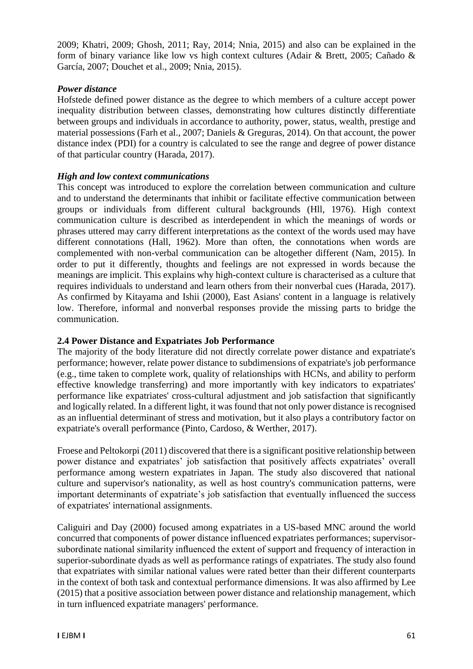2009; Khatri, 2009; Ghosh, 2011; Ray, 2014; Nnia, 2015) and also can be explained in the form of binary variance like low vs high context cultures (Adair & Brett, 2005; Cañado & García, 2007; Douchet et al., 2009; Nnia, 2015).

#### *Power distance*

Hofstede defined power distance as the degree to which members of a culture accept power inequality distribution between classes, demonstrating how cultures distinctly differentiate between groups and individuals in accordance to authority, power, status, wealth, prestige and material possessions (Farh et al., 2007; Daniels & Greguras, 2014). On that account, the power distance index (PDI) for a country is calculated to see the range and degree of power distance of that particular country (Harada, 2017).

## *High and low context communications*

This concept was introduced to explore the correlation between communication and culture and to understand the determinants that inhibit or facilitate effective communication between groups or individuals from different cultural backgrounds (Hll, 1976). High context communication culture is described as interdependent in which the meanings of words or phrases uttered may carry different interpretations as the context of the words used may have different connotations (Hall, 1962). More than often, the connotations when words are complemented with non-verbal communication can be altogether different (Nam, 2015). In order to put it differently, thoughts and feelings are not expressed in words because the meanings are implicit. This explains why high-context culture is characterised as a culture that requires individuals to understand and learn others from their nonverbal cues (Harada, 2017). As confirmed by Kitayama and Ishii (2000), East Asians' content in a language is relatively low. Therefore, informal and nonverbal responses provide the missing parts to bridge the communication.

# **2.4 Power Distance and Expatriates Job Performance**

The majority of the body literature did not directly correlate power distance and expatriate's performance; however, relate power distance to subdimensions of expatriate's job performance (e.g., time taken to complete work, quality of relationships with HCNs, and ability to perform effective knowledge transferring) and more importantly with key indicators to expatriates' performance like expatriates' cross-cultural adjustment and job satisfaction that significantly and logically related. In a different light, it was found that not only power distance is recognised as an influential determinant of stress and motivation, but it also plays a contributory factor on expatriate's overall performance (Pinto, Cardoso, & Werther, 2017).

Froese and Peltokorpi (2011) discovered that there is a significant positive relationship between power distance and expatriates' job satisfaction that positively affects expatriates' overall performance among western expatriates in Japan. The study also discovered that national culture and supervisor's nationality, as well as host country's communication patterns, were important determinants of expatriate's job satisfaction that eventually influenced the success of expatriates' international assignments.

Caliguiri and Day (2000) focused among expatriates in a US-based MNC around the world concurred that components of power distance influenced expatriates performances; supervisorsubordinate national similarity influenced the extent of support and frequency of interaction in superior-subordinate dyads as well as performance ratings of expatriates. The study also found that expatriates with similar national values were rated better than their different counterparts in the context of both task and contextual performance dimensions. It was also affirmed by Lee (2015) that a positive association between power distance and relationship management, which in turn influenced expatriate managers' performance.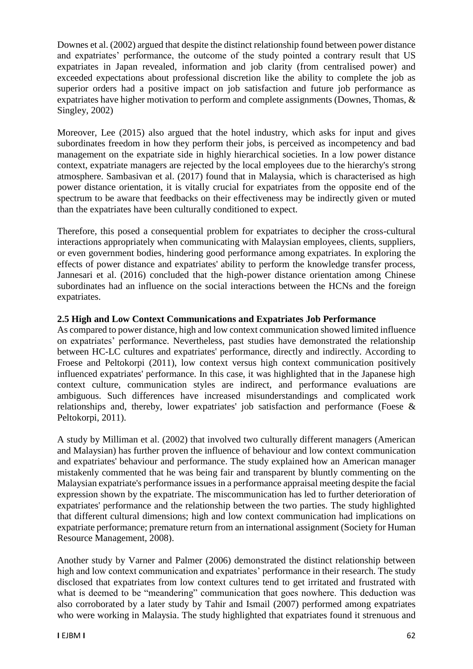Downes et al. (2002) argued that despite the distinct relationship found between power distance and expatriates' performance, the outcome of the study pointed a contrary result that US expatriates in Japan revealed, information and job clarity (from centralised power) and exceeded expectations about professional discretion like the ability to complete the job as superior orders had a positive impact on job satisfaction and future job performance as expatriates have higher motivation to perform and complete assignments (Downes, Thomas, & Singley, 2002)

Moreover, Lee (2015) also argued that the hotel industry, which asks for input and gives subordinates freedom in how they perform their jobs, is perceived as incompetency and bad management on the expatriate side in highly hierarchical societies. In a low power distance context, expatriate managers are rejected by the local employees due to the hierarchy's strong atmosphere. Sambasivan et al. (2017) found that in Malaysia, which is characterised as high power distance orientation, it is vitally crucial for expatriates from the opposite end of the spectrum to be aware that feedbacks on their effectiveness may be indirectly given or muted than the expatriates have been culturally conditioned to expect.

Therefore, this posed a consequential problem for expatriates to decipher the cross-cultural interactions appropriately when communicating with Malaysian employees, clients, suppliers, or even government bodies, hindering good performance among expatriates. In exploring the effects of power distance and expatriates' ability to perform the knowledge transfer process, Jannesari et al. (2016) concluded that the high-power distance orientation among Chinese subordinates had an influence on the social interactions between the HCNs and the foreign expatriates.

# **2.5 High and Low Context Communications and Expatriates Job Performance**

As compared to power distance, high and low context communication showed limited influence on expatriates' performance. Nevertheless, past studies have demonstrated the relationship between HC-LC cultures and expatriates' performance, directly and indirectly. According to Froese and Peltokorpi (2011), low context versus high context communication positively influenced expatriates' performance. In this case, it was highlighted that in the Japanese high context culture, communication styles are indirect, and performance evaluations are ambiguous. Such differences have increased misunderstandings and complicated work relationships and, thereby, lower expatriates' job satisfaction and performance (Foese & Peltokorpi, 2011).

A study by Milliman et al. (2002) that involved two culturally different managers (American and Malaysian) has further proven the influence of behaviour and low context communication and expatriates' behaviour and performance. The study explained how an American manager mistakenly commented that he was being fair and transparent by bluntly commenting on the Malaysian expatriate's performance issues in a performance appraisal meeting despite the facial expression shown by the expatriate. The miscommunication has led to further deterioration of expatriates' performance and the relationship between the two parties. The study highlighted that different cultural dimensions; high and low context communication had implications on expatriate performance; premature return from an international assignment (Society for Human Resource Management, 2008).

Another study by Varner and Palmer (2006) demonstrated the distinct relationship between high and low context communication and expatriates' performance in their research. The study disclosed that expatriates from low context cultures tend to get irritated and frustrated with what is deemed to be "meandering" communication that goes nowhere. This deduction was also corroborated by a later study by Tahir and Ismail (2007) performed among expatriates who were working in Malaysia. The study highlighted that expatriates found it strenuous and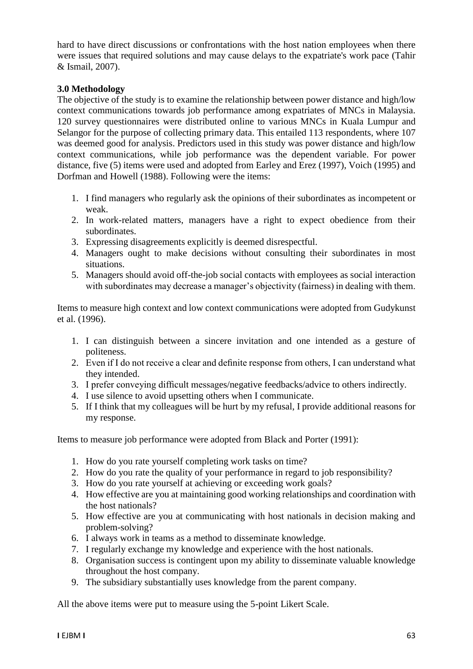hard to have direct discussions or confrontations with the host nation employees when there were issues that required solutions and may cause delays to the expatriate's work pace (Tahir & Ismail, 2007).

## **3.0 Methodology**

The objective of the study is to examine the relationship between power distance and high/low context communications towards job performance among expatriates of MNCs in Malaysia. 120 survey questionnaires were distributed online to various MNCs in Kuala Lumpur and Selangor for the purpose of collecting primary data. This entailed 113 respondents, where 107 was deemed good for analysis. Predictors used in this study was power distance and high/low context communications, while job performance was the dependent variable. For power distance, five (5) items were used and adopted from Earley and Erez (1997), Voich (1995) and Dorfman and Howell (1988). Following were the items:

- 1. I find managers who regularly ask the opinions of their subordinates as incompetent or weak.
- 2. In work-related matters, managers have a right to expect obedience from their subordinates.
- 3. Expressing disagreements explicitly is deemed disrespectful.
- 4. Managers ought to make decisions without consulting their subordinates in most situations.
- 5. Managers should avoid off-the-job social contacts with employees as social interaction with subordinates may decrease a manager's objectivity (fairness) in dealing with them.

Items to measure high context and low context communications were adopted from Gudykunst et al. (1996).

- 1. I can distinguish between a sincere invitation and one intended as a gesture of politeness.
- 2. Even if I do not receive a clear and definite response from others, I can understand what they intended.
- 3. I prefer conveying difficult messages/negative feedbacks/advice to others indirectly.
- 4. I use silence to avoid upsetting others when I communicate.
- 5. If I think that my colleagues will be hurt by my refusal, I provide additional reasons for my response.

Items to measure job performance were adopted from Black and Porter (1991):

- 1. How do you rate yourself completing work tasks on time?
- 2. How do you rate the quality of your performance in regard to job responsibility?
- 3. How do you rate yourself at achieving or exceeding work goals?
- 4. How effective are you at maintaining good working relationships and coordination with the host nationals?
- 5. How effective are you at communicating with host nationals in decision making and problem-solving?
- 6. I always work in teams as a method to disseminate knowledge.
- 7. I regularly exchange my knowledge and experience with the host nationals.
- 8. Organisation success is contingent upon my ability to disseminate valuable knowledge throughout the host company.
- 9. The subsidiary substantially uses knowledge from the parent company.

All the above items were put to measure using the 5-point Likert Scale.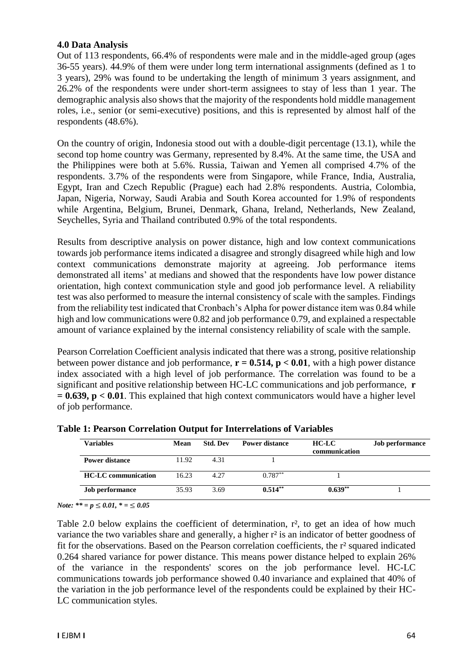#### **4.0 Data Analysis**

Out of 113 respondents, 66.4% of respondents were male and in the middle-aged group (ages 36-55 years). 44.9% of them were under long term international assignments (defined as 1 to 3 years), 29% was found to be undertaking the length of minimum 3 years assignment, and 26.2% of the respondents were under short-term assignees to stay of less than 1 year. The demographic analysis also shows that the majority of the respondents hold middle management roles, i.e., senior (or semi-executive) positions, and this is represented by almost half of the respondents (48.6%).

On the country of origin, Indonesia stood out with a double-digit percentage (13.1), while the second top home country was Germany, represented by 8.4%. At the same time, the USA and the Philippines were both at 5.6%. Russia, Taiwan and Yemen all comprised 4.7% of the respondents. 3.7% of the respondents were from Singapore, while France, India, Australia, Egypt, Iran and Czech Republic (Prague) each had 2.8% respondents. Austria, Colombia, Japan, Nigeria, Norway, Saudi Arabia and South Korea accounted for 1.9% of respondents while Argentina, Belgium, Brunei, Denmark, Ghana, Ireland, Netherlands, New Zealand, Seychelles, Syria and Thailand contributed 0.9% of the total respondents.

Results from descriptive analysis on power distance, high and low context communications towards job performance items indicated a disagree and strongly disagreed while high and low context communications demonstrate majority at agreeing. Job performance items demonstrated all items' at medians and showed that the respondents have low power distance orientation, high context communication style and good job performance level. A reliability test was also performed to measure the internal consistency of scale with the samples. Findings from the reliability test indicated that Cronbach's Alpha for power distance item was 0.84 while high and low communications were 0.82 and job performance 0.79, and explained a respectable amount of variance explained by the internal consistency reliability of scale with the sample.

Pearson Correlation Coefficient analysis indicated that there was a strong, positive relationship between power distance and job performance,  $\mathbf{r} = 0.514$ ,  $\mathbf{p} < 0.01$ , with a high power distance index associated with a high level of job performance. The correlation was found to be a significant and positive relationship between HC-LC communications and job performance, **r = 0.639, p < 0.01**. This explained that high context communicators would have a higher level of job performance.

| <b>Variables</b>           | Mean  | <b>Std. Dev</b> | <b>Power distance</b> | <b>HC-LC</b><br>communication | <b>Job performance</b> |
|----------------------------|-------|-----------------|-----------------------|-------------------------------|------------------------|
| <b>Power distance</b>      | 11.92 | 4.31            |                       |                               |                        |
| <b>HC-LC</b> communication | 16.23 | 4.27            | $0.787**$             |                               |                        |
| <b>Job performance</b>     | 35.93 | 3.69            | $0.514**$             | $0.639**$                     |                        |

**Table 1: Pearson Correlation Output for Interrelations of Variables**

*Note: \*\* = p* ≤ *0.01, \* =* ≤ *0.05*

Table 2.0 below explains the coefficient of determination,  $r^2$ , to get an idea of how much variance the two variables share and generally, a higher r<sup>2</sup> is an indicator of better goodness of fit for the observations. Based on the Pearson correlation coefficients, the r² squared indicated 0.264 shared variance for power distance. This means power distance helped to explain 26% of the variance in the respondents' scores on the job performance level. HC-LC communications towards job performance showed 0.40 invariance and explained that 40% of the variation in the job performance level of the respondents could be explained by their HC-LC communication styles.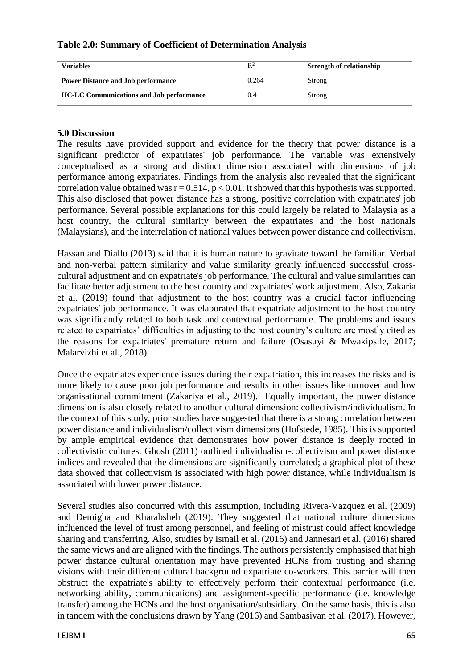| <b>Variables</b>                                | $\mathbb{R}^2$ | <b>Strength of relationship</b> |
|-------------------------------------------------|----------------|---------------------------------|
| <b>Power Distance and Job performance</b>       | 0.264          | Strong                          |
| <b>HC-LC Communications and Job performance</b> | 0.4            | Strong                          |

## **Table 2.0: Summary of Coefficient of Determination Analysis**

## **5.0 Discussion**

The results have provided support and evidence for the theory that power distance is a significant predictor of expatriates' job performance. The variable was extensively conceptualised as a strong and distinct dimension associated with dimensions of job performance among expatriates. Findings from the analysis also revealed that the significant correlation value obtained was  $r = 0.514$ ,  $p < 0.01$ . It showed that this hypothesis was supported. This also disclosed that power distance has a strong, positive correlation with expatriates' job performance. Several possible explanations for this could largely be related to Malaysia as a host country, the cultural similarity between the expatriates and the host nationals (Malaysians), and the interrelation of national values between power distance and collectivism.

Hassan and Diallo (2013) said that it is human nature to gravitate toward the familiar. Verbal and non-verbal pattern similarity and value similarity greatly influenced successful crosscultural adjustment and on expatriate's job performance. The cultural and value similarities can facilitate better adjustment to the host country and expatriates' work adjustment. Also, Zakaria et al. (2019) found that adjustment to the host country was a crucial factor influencing expatriates' job performance. It was elaborated that expatriate adjustment to the host country was significantly related to both task and contextual performance. The problems and issues related to expatriates' difficulties in adjusting to the host country's culture are mostly cited as the reasons for expatriates' premature return and failure (Osasuyi & Mwakipsile, 2017; Malarvizhi et al., 2018).

Once the expatriates experience issues during their expatriation, this increases the risks and is more likely to cause poor job performance and results in other issues like turnover and low organisational commitment (Zakariya et al., 2019). Equally important, the power distance dimension is also closely related to another cultural dimension: collectivism/individualism. In the context of this study, prior studies have suggested that there is a strong correlation between power distance and individualism/collectivism dimensions (Hofstede, 1985). This is supported by ample empirical evidence that demonstrates how power distance is deeply rooted in collectivistic cultures. Ghosh (2011) outlined individualism-collectivism and power distance indices and revealed that the dimensions are significantly correlated; a graphical plot of these data showed that collectivism is associated with high power distance, while individualism is associated with lower power distance.

Several studies also concurred with this assumption, including Rivera-Vazquez et al. (2009) and Demigha and Kharabsheh (2019). They suggested that national culture dimensions influenced the level of trust among personnel, and feeling of mistrust could affect knowledge sharing and transferring. Also, studies by Ismail et al. (2016) and Jannesari et al. (2016) shared the same views and are aligned with the findings. The authors persistently emphasised that high power distance cultural orientation may have prevented HCNs from trusting and sharing visions with their different cultural background expatriate co-workers. This barrier will then obstruct the expatriate's ability to effectively perform their contextual performance (i.e. networking ability, communications) and assignment-specific performance (i.e. knowledge transfer) among the HCNs and the host organisation/subsidiary. On the same basis, this is also in tandem with the conclusions drawn by Yang (2016) and Sambasivan et al. (2017). However,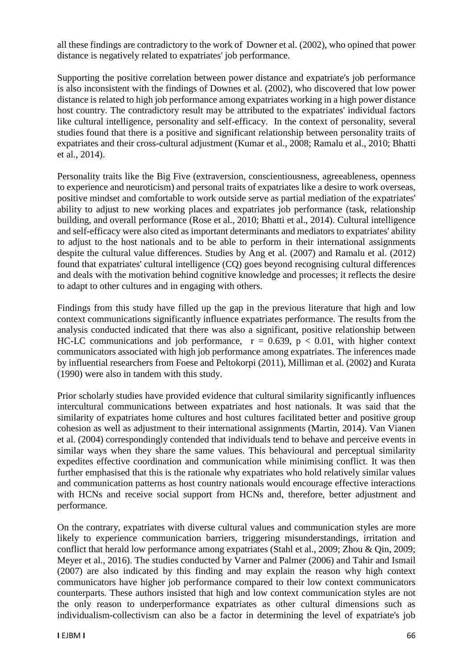all these findings are contradictory to the work of Downer et al. (2002), who opined that power distance is negatively related to expatriates' job performance.

Supporting the positive correlation between power distance and expatriate's job performance is also inconsistent with the findings of Downes et al. (2002), who discovered that low power distance is related to high job performance among expatriates working in a high power distance host country. The contradictory result may be attributed to the expatriates' individual factors like cultural intelligence, personality and self-efficacy. In the context of personality, several studies found that there is a positive and significant relationship between personality traits of expatriates and their cross-cultural adjustment (Kumar et al., 2008; Ramalu et al., 2010; Bhatti et al., 2014).

Personality traits like the Big Five (extraversion, conscientiousness, agreeableness, openness to experience and neuroticism) and personal traits of expatriates like a desire to work overseas, positive mindset and comfortable to work outside serve as partial mediation of the expatriates' ability to adjust to new working places and expatriates job performance (task, relationship building, and overall performance (Rose et al., 2010; Bhatti et al., 2014). Cultural intelligence and self-efficacy were also cited as important determinants and mediators to expatriates' ability to adjust to the host nationals and to be able to perform in their international assignments despite the cultural value differences. Studies by Ang et al. (2007) and Ramalu et al. (2012) found that expatriates' cultural intelligence (CQ) goes beyond recognising cultural differences and deals with the motivation behind cognitive knowledge and processes; it reflects the desire to adapt to other cultures and in engaging with others.

Findings from this study have filled up the gap in the previous literature that high and low context communications significantly influence expatriates performance. The results from the analysis conducted indicated that there was also a significant, positive relationship between HC-LC communications and job performance,  $r = 0.639$ ,  $p < 0.01$ , with higher context communicators associated with high job performance among expatriates. The inferences made by influential researchers from Foese and Peltokorpi (2011), Milliman et al. (2002) and Kurata (1990) were also in tandem with this study.

Prior scholarly studies have provided evidence that cultural similarity significantly influences intercultural communications between expatriates and host nationals. It was said that the similarity of expatriates home cultures and host cultures facilitated better and positive group cohesion as well as adjustment to their international assignments (Martin, 2014). Van Vianen et al. (2004) correspondingly contended that individuals tend to behave and perceive events in similar ways when they share the same values. This behavioural and perceptual similarity expedites effective coordination and communication while minimising conflict. It was then further emphasised that this is the rationale why expatriates who hold relatively similar values and communication patterns as host country nationals would encourage effective interactions with HCNs and receive social support from HCNs and, therefore, better adjustment and performance.

On the contrary, expatriates with diverse cultural values and communication styles are more likely to experience communication barriers, triggering misunderstandings, irritation and conflict that herald low performance among expatriates (Stahl et al., 2009; Zhou & Qin, 2009; Meyer et al., 2016). The studies conducted by Varner and Palmer (2006) and Tahir and Ismail (2007) are also indicated by this finding and may explain the reason why high context communicators have higher job performance compared to their low context communicators counterparts. These authors insisted that high and low context communication styles are not the only reason to underperformance expatriates as other cultural dimensions such as individualism-collectivism can also be a factor in determining the level of expatriate's job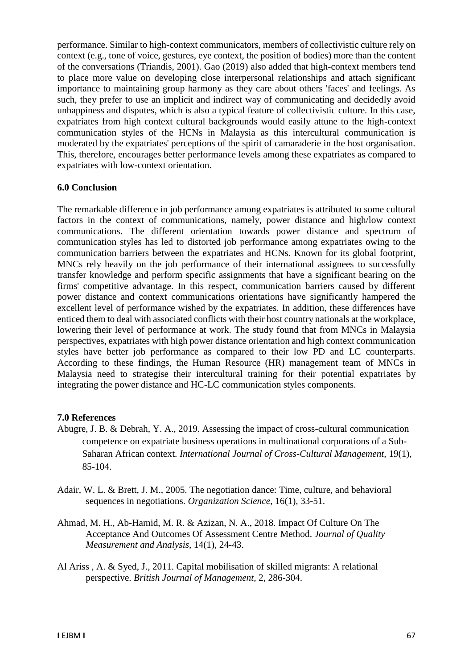performance. Similar to high-context communicators, members of collectivistic culture rely on context (e.g., tone of voice, gestures, eye context, the position of bodies) more than the content of the conversations (Triandis, 2001). Gao (2019) also added that high-context members tend to place more value on developing close interpersonal relationships and attach significant importance to maintaining group harmony as they care about others 'faces' and feelings. As such, they prefer to use an implicit and indirect way of communicating and decidedly avoid unhappiness and disputes, which is also a typical feature of collectivistic culture. In this case, expatriates from high context cultural backgrounds would easily attune to the high-context communication styles of the HCNs in Malaysia as this intercultural communication is moderated by the expatriates' perceptions of the spirit of camaraderie in the host organisation. This, therefore, encourages better performance levels among these expatriates as compared to expatriates with low-context orientation.

#### **6.0 Conclusion**

The remarkable difference in job performance among expatriates is attributed to some cultural factors in the context of communications, namely, power distance and high/low context communications. The different orientation towards power distance and spectrum of communication styles has led to distorted job performance among expatriates owing to the communication barriers between the expatriates and HCNs. Known for its global footprint, MNCs rely heavily on the job performance of their international assignees to successfully transfer knowledge and perform specific assignments that have a significant bearing on the firms' competitive advantage. In this respect, communication barriers caused by different power distance and context communications orientations have significantly hampered the excellent level of performance wished by the expatriates. In addition, these differences have enticed them to deal with associated conflicts with their host country nationals at the workplace, lowering their level of performance at work. The study found that from MNCs in Malaysia perspectives, expatriates with high power distance orientation and high context communication styles have better job performance as compared to their low PD and LC counterparts. According to these findings, the Human Resource (HR) management team of MNCs in Malaysia need to strategise their intercultural training for their potential expatriates by integrating the power distance and HC-LC communication styles components.

#### **7.0 References**

- Abugre, J. B. & Debrah, Y. A., 2019. Assessing the impact of cross-cultural communication competence on expatriate business operations in multinational corporations of a Sub-Saharan African context. *International Journal of Cross-Cultural Management,* 19(1), 85-104.
- Adair, W. L. & Brett, J. M., 2005. The negotiation dance: Time, culture, and behavioral sequences in negotiations. *Organization Science,* 16(1), 33-51.
- Ahmad, M. H., Ab-Hamid, M. R. & Azizan, N. A., 2018. Impact Of Culture On The Acceptance And Outcomes Of Assessment Centre Method. *Journal of Quality Measurement and Analysis,* 14(1), 24-43.
- Al Ariss , A. & Syed, J., 2011. Capital mobilisation of skilled migrants: A relational perspective. *British Journal of Management,* 2, 286-304.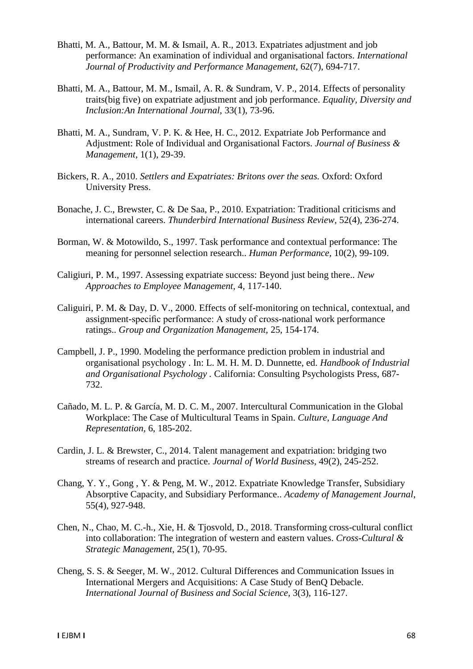- Bhatti, M. A., Battour, M. M. & Ismail, A. R., 2013. Expatriates adjustment and job performance: An examination of individual and organisational factors. *International Journal of Productivity and Performance Management,* 62(7), 694-717.
- Bhatti, M. A., Battour, M. M., Ismail, A. R. & Sundram, V. P., 2014. Effects of personality traits(big five) on expatriate adjustment and job performance. *Equality, Diversity and Inclusion:An International Journal,* 33(1), 73-96.
- Bhatti, M. A., Sundram, V. P. K. & Hee, H. C., 2012. Expatriate Job Performance and Adjustment: Role of Individual and Organisational Factors. *Journal of Business & Management,* 1(1), 29-39.
- Bickers, R. A., 2010. *Settlers and Expatriates: Britons over the seas.* Oxford: Oxford University Press.
- Bonache, J. C., Brewster, C. & De Saa, P., 2010. Expatriation: Traditional criticisms and international careers. *Thunderbird International Business Review,* 52(4), 236-274.
- Borman, W. & Motowildo, S., 1997. Task performance and contextual performance: The meaning for personnel selection research.. *Human Performance,* 10(2), 99-109.
- Caligiuri, P. M., 1997. Assessing expatriate success: Beyond just being there.. *New Approaches to Employee Management,* 4, 117-140.
- Caliguiri, P. M. & Day, D. V., 2000. Effects of self-monitoring on technical, contextual, and assignment-specific performance: A study of cross-national work performance ratings.. *Group and Organization Management,* 25, 154-174.
- Campbell, J. P., 1990. Modeling the performance prediction problem in industrial and organisational psychology . In: L. M. H. M. D. Dunnette, ed. *Handbook of Industrial and Organisational Psychology .* California: Consulting Psychologists Press, 687- 732.
- Cañado, M. L. P. & García, M. D. C. M., 2007. Intercultural Communication in the Global Workplace: The Case of Multicultural Teams in Spain. *Culture, Language And Representation,* 6, 185-202.
- Cardin, J. L. & Brewster, C., 2014. Talent management and expatriation: bridging two streams of research and practice. *Journal of World Business,* 49(2), 245-252.
- Chang, Y. Y., Gong , Y. & Peng, M. W., 2012. Expatriate Knowledge Transfer, Subsidiary Absorptive Capacity, and Subsidiary Performance.. *Academy of Management Journal,*  55(4), 927-948.
- Chen, N., Chao, M. C.-h., Xie, H. & Tjosvold, D., 2018. Transforming cross-cultural conflict into collaboration: The integration of western and eastern values. *Cross-Cultural & Strategic Management,* 25(1), 70-95.
- Cheng, S. S. & Seeger, M. W., 2012. Cultural Differences and Communication Issues in International Mergers and Acquisitions: A Case Study of BenQ Debacle. *International Journal of Business and Social Science,* 3(3), 116-127.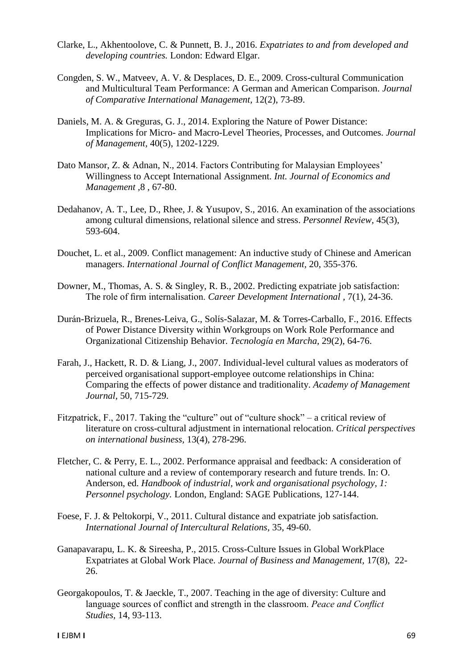- Clarke, L., Akhentoolove, C. & Punnett, B. J., 2016. *Expatriates to and from developed and developing countries.* London: Edward Elgar.
- Congden, S. W., Matveev, A. V. & Desplaces, D. E., 2009. Cross-cultural Communication and Multicultural Team Performance: A German and American Comparison. *Journal of Comparative International Management,* 12(2), 73-89.
- Daniels, M. A. & Greguras, G. J., 2014. Exploring the Nature of Power Distance: Implications for Micro- and Macro-Level Theories, Processes, and Outcomes. *Journal of Management,* 40(5), 1202-1229.
- Dato Mansor, Z. & Adnan, N., 2014. Factors Contributing for Malaysian Employees' Willingness to Accept International Assignment. *Int. Journal of Economics and Management ,*8 , 67-80.
- Dedahanov, A. T., Lee, D., Rhee, J. & Yusupov, S., 2016. An examination of the associations among cultural dimensions, relational silence and stress. *Personnel Review,* 45(3), 593-604.
- Douchet, L. et al., 2009. Conflict management: An inductive study of Chinese and American managers. *International Journal of Conflict Management,* 20, 355-376.
- Downer, M., Thomas, A. S. & Singley, R. B., 2002. Predicting expatriate job satisfaction: The role of firm internalisation. *Career Development International ,* 7(1), 24-36.
- Durán-Brizuela, R., Brenes-Leiva, G., Solís-Salazar, M. & Torres-Carballo, F., 2016. Effects of Power Distance Diversity within Workgroups on Work Role Performance and Organizational Citizenship Behavior. *Tecnología en Marcha,* 29(2), 64-76.
- Farah, J., Hackett, R. D. & Liang, J., 2007. Individual-level cultural values as moderators of perceived organisational support-employee outcome relationships in China: Comparing the effects of power distance and traditionality. *Academy of Management Journal,* 50, 715-729.
- Fitzpatrick, F., 2017. Taking the "culture" out of "culture shock" a critical review of literature on cross-cultural adjustment in international relocation. *Critical perspectives on international business,* 13(4), 278-296.
- Fletcher, C. & Perry, E. L., 2002. Performance appraisal and feedback: A consideration of national culture and a review of contemporary research and future trends. In: O. Anderson, ed. *Handbook of industrial, work and organisational psychology, 1: Personnel psychology.* London, England: SAGE Publications, 127-144.
- Foese, F. J. & Peltokorpi, V., 2011. Cultural distance and expatriate job satisfaction. *International Journal of Intercultural Relations,* 35, 49-60.
- Ganapavarapu, L. K. & Sireesha, P., 2015. Cross-Culture Issues in Global WorkPlace Expatriates at Global Work Place. *Journal of Business and Management,* 17(8), 22- 26.
- Georgakopoulos, T. & Jaeckle, T., 2007. Teaching in the age of diversity: Culture and language sources of conflict and strength in the classroom. *Peace and Conflict Studies,* 14, 93-113.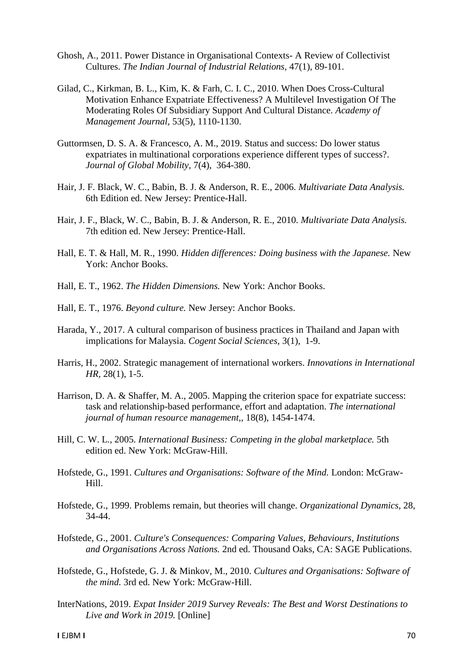- Ghosh, A., 2011. Power Distance in Organisational Contexts- A Review of Collectivist Cultures. *The Indian Journal of Industrial Relations,* 47(1), 89-101.
- Gilad, C., Kirkman, B. L., Kim, K. & Farh, C. I. C., 2010. When Does Cross-Cultural Motivation Enhance Expatriate Effectiveness? A Multilevel Investigation Of The Moderating Roles Of Subsidiary Support And Cultural Distance. *Academy of Management Journal,* 53(5), 1110-1130.
- Guttormsen, D. S. A. & Francesco, A. M., 2019. Status and success: Do lower status expatriates in multinational corporations experience different types of success?. *Journal of Global Mobility,* 7(4), 364-380.
- Hair, J. F. Black, W. C., Babin, B. J. & Anderson, R. E., 2006. *Multivariate Data Analysis.*  6th Edition ed. New Jersey: Prentice-Hall.
- Hair, J. F., Black, W. C., Babin, B. J. & Anderson, R. E., 2010. *Multivariate Data Analysis.*  7th edition ed. New Jersey: Prentice-Hall.
- Hall, E. T. & Hall, M. R., 1990. *Hidden differences: Doing business with the Japanese.* New York: Anchor Books.
- Hall, E. T., 1962. *The Hidden Dimensions.* New York: Anchor Books.
- Hall, E. T., 1976. *Beyond culture.* New Jersey: Anchor Books.
- Harada, Y., 2017. A cultural comparison of business practices in Thailand and Japan with implications for Malaysia. *Cogent Social Sciences,* 3(1), 1-9.
- Harris, H., 2002. Strategic management of international workers. *Innovations in International HR,* 28(1), 1-5.
- Harrison, D. A. & Shaffer, M. A., 2005. Mapping the criterion space for expatriate success: task and relationship-based performance, effort and adaptation. *The international journal of human resource management,,* 18(8), 1454-1474.
- Hill, C. W. L., 2005. *International Business: Competing in the global marketplace.* 5th edition ed. New York: McGraw-Hill.
- Hofstede, G., 1991. *Cultures and Organisations: Software of the Mind.* London: McGraw-Hill.
- Hofstede, G., 1999. Problems remain, but theories will change. *Organizational Dynamics,* 28, 34-44.
- Hofstede, G., 2001. *Culture's Consequences: Comparing Values, Behaviours, Institutions and Organisations Across Nations.* 2nd ed. Thousand Oaks, CA: SAGE Publications.
- Hofstede, G., Hofstede, G. J. & Minkov, M., 2010. *Cultures and Organisations: Software of the mind.* 3rd ed. New York: McGraw-Hill.
- InterNations, 2019. *Expat Insider 2019 Survey Reveals: The Best and Worst Destinations to Live and Work in 2019.* [Online]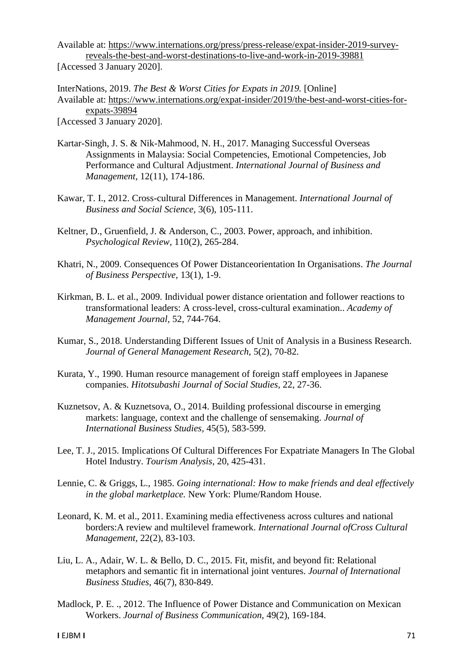Available at: https://www.internations.org/press/press-release/expat-insider-2019-surveyreveals-the-best-and-worst-destinations-to-live-and-work-in-2019-39881 [Accessed 3 January 2020].

InterNations, 2019. *The Best & Worst Cities for Expats in 2019.* [Online] Available at: https://www.internations.org/expat-insider/2019/the-best-and-worst-cities-forexpats-39894 [Accessed 3 January 2020].

- Kartar-Singh, J. S. & Nik-Mahmood, N. H., 2017. Managing Successful Overseas Assignments in Malaysia: Social Competencies, Emotional Competencies, Job Performance and Cultural Adjustment. *International Journal of Business and Management,* 12(11), 174-186.
- Kawar, T. I., 2012. Cross-cultural Differences in Management. *International Journal of Business and Social Science,* 3(6), 105-111.
- Keltner, D., Gruenfield, J. & Anderson, C., 2003. Power, approach, and inhibition. *Psychological Review,* 110(2), 265-284.
- Khatri, N., 2009. Consequences Of Power Distanceorientation In Organisations. *The Journal of Business Perspective,* 13(1), 1-9.
- Kirkman, B. L. et al., 2009. Individual power distance orientation and follower reactions to transformational leaders: A cross-level, cross-cultural examination.. *Academy of Management Journal,* 52, 744-764.
- Kumar, S., 2018. Understanding Different Issues of Unit of Analysis in a Business Research. *Journal of General Management Research,* 5(2), 70-82.
- Kurata, Y., 1990. Human resource management of foreign staff employees in Japanese companies. *Hitotsubashi Journal of Social Studies,* 22, 27-36.
- Kuznetsov, A. & Kuznetsova, O., 2014. Building professional discourse in emerging markets: language, context and the challenge of sensemaking. *Journal of International Business Studies,* 45(5), 583-599.
- Lee, T. J., 2015. Implications Of Cultural Differences For Expatriate Managers In The Global Hotel Industry. *Tourism Analysis,* 20, 425-431.
- Lennie, C. & Griggs, L., 1985. *Going international: How to make friends and deal effectively in the global marketplace.* New York: Plume/Random House.
- Leonard, K. M. et al., 2011. Examining media effectiveness across cultures and national borders:A review and multilevel framework. *International Journal ofCross Cultural Management,* 22(2), 83-103.
- Liu, L. A., Adair, W. L. & Bello, D. C., 2015. Fit, misfit, and beyond fit: Relational metaphors and semantic fit in international joint ventures. *Journal of International Business Studies,* 46(7), 830-849.
- Madlock, P. E. ., 2012. The Influence of Power Distance and Communication on Mexican Workers. *Journal of Business Communication,* 49(2), 169-184.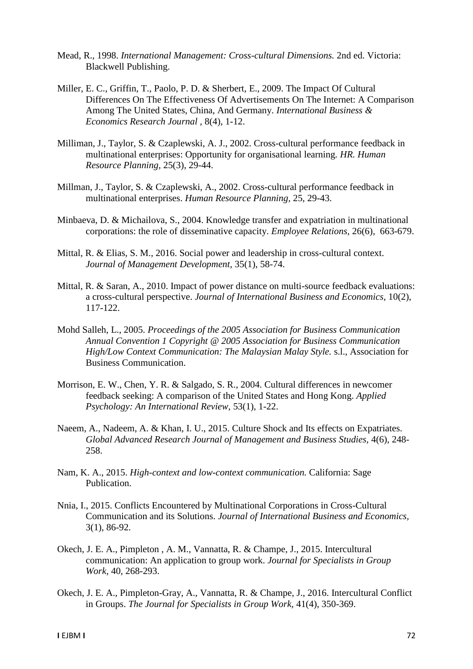- Mead, R., 1998. *International Management: Cross-cultural Dimensions.* 2nd ed. Victoria: Blackwell Publishing.
- Miller, E. C., Griffin, T., Paolo, P. D. & Sherbert, E., 2009. The Impact Of Cultural Differences On The Effectiveness Of Advertisements On The Internet: A Comparison Among The United States, China, And Germany. *International Business & Economics Research Journal ,* 8(4), 1-12.
- Milliman, J., Taylor, S. & Czaplewski, A. J., 2002. Cross-cultural performance feedback in multinational enterprises: Opportunity for organisational learning. *HR. Human Resource Planning,* 25(3), 29-44.
- Millman, J., Taylor, S. & Czaplewski, A., 2002. Cross-cultural performance feedback in multinational enterprises. *Human Resource Planning,* 25, 29-43.
- Minbaeva, D. & Michailova, S., 2004. Knowledge transfer and expatriation in multinational corporations: the role of disseminative capacity. *Employee Relations,* 26(6), 663-679.
- Mittal, R. & Elias, S. M., 2016. Social power and leadership in cross-cultural context. *Journal of Management Development,* 35(1), 58-74.
- Mittal, R. & Saran, A., 2010. Impact of power distance on multi-source feedback evaluations: a cross-cultural perspective. *Journal of International Business and Economics,* 10(2), 117-122.
- Mohd Salleh, L., 2005. *Proceedings of the 2005 Association for Business Communication Annual Convention 1 Copyright @ 2005 Association for Business Communication High/Low Context Communication: The Malaysian Malay Style.* s.l., Association for Business Communication.
- Morrison, E. W., Chen, Y. R. & Salgado, S. R., 2004. Cultural differences in newcomer feedback seeking: A comparison of the United States and Hong Kong. *Applied Psychology: An International Review,* 53(1), 1-22.
- Naeem, A., Nadeem, A. & Khan, I. U., 2015. Culture Shock and Its effects on Expatriates. *Global Advanced Research Journal of Management and Business Studies,* 4(6), 248- 258.
- Nam, K. A., 2015. *High-context and low-context communication.* California: Sage Publication.
- Nnia, I., 2015. Conflicts Encountered by Multinational Corporations in Cross-Cultural Communication and its Solutions. *Journal of International Business and Economics,*  3(1), 86-92.
- Okech, J. E. A., Pimpleton , A. M., Vannatta, R. & Champe, J., 2015. Intercultural communication: An application to group work. *Journal for Specialists in Group Work,* 40, 268-293.
- Okech, J. E. A., Pimpleton-Gray, A., Vannatta, R. & Champe, J., 2016. Intercultural Conflict in Groups. *The Journal for Specialists in Group Work,* 41(4), 350-369.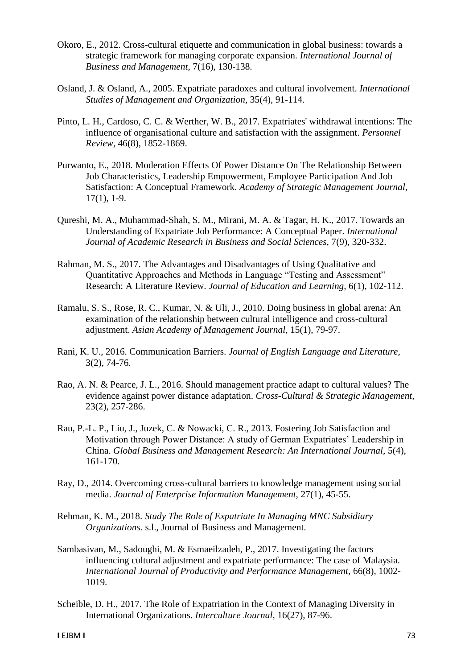- Okoro, E., 2012. Cross-cultural etiquette and communication in global business: towards a strategic framework for managing corporate expansion. *International Journal of Business and Management,* 7(16), 130-138.
- Osland, J. & Osland, A., 2005. Expatriate paradoxes and cultural involvement. *International Studies of Management and Organization,* 35(4), 91-114.
- Pinto, L. H., Cardoso, C. C. & Werther, W. B., 2017. Expatriates' withdrawal intentions: The influence of organisational culture and satisfaction with the assignment. *Personnel Review,* 46(8), 1852-1869.
- Purwanto, E., 2018. Moderation Effects Of Power Distance On The Relationship Between Job Characteristics, Leadership Empowerment, Employee Participation And Job Satisfaction: A Conceptual Framework. *Academy of Strategic Management Journal,*  17(1), 1-9.
- Qureshi, M. A., Muhammad-Shah, S. M., Mirani, M. A. & Tagar, H. K., 2017. Towards an Understanding of Expatriate Job Performance: A Conceptual Paper. *International Journal of Academic Research in Business and Social Sciences,* 7(9), 320-332.
- Rahman, M. S., 2017. The Advantages and Disadvantages of Using Qualitative and Quantitative Approaches and Methods in Language "Testing and Assessment" Research: A Literature Review. *Journal of Education and Learning,* 6(1), 102-112.
- Ramalu, S. S., Rose, R. C., Kumar, N. & Uli, J., 2010. Doing business in global arena: An examination of the relationship between cultural intelligence and cross-cultural adjustment. *Asian Academy of Management Journal,* 15(1), 79-97.
- Rani, K. U., 2016. Communication Barriers. *Journal of English Language and Literature,*  3(2), 74-76.
- Rao, A. N. & Pearce, J. L., 2016. Should management practice adapt to cultural values? The evidence against power distance adaptation. *Cross-Cultural & Strategic Management,*  23(2), 257-286.
- Rau, P.-L. P., Liu, J., Juzek, C. & Nowacki, C. R., 2013. Fostering Job Satisfaction and Motivation through Power Distance: A study of German Expatriates' Leadership in China. *Global Business and Management Research: An International Journal,* 5(4), 161-170.
- Ray, D., 2014. Overcoming cross-cultural barriers to knowledge management using social media. *Journal of Enterprise Information Management,* 27(1), 45-55.
- Rehman, K. M., 2018. *Study The Role of Expatriate In Managing MNC Subsidiary Organizations.* s.l., Journal of Business and Management.
- Sambasivan, M., Sadoughi, M. & Esmaeilzadeh, P., 2017. Investigating the factors influencing cultural adjustment and expatriate performance: The case of Malaysia. *International Journal of Productivity and Performance Management,* 66(8), 1002- 1019.
- Scheible, D. H., 2017. The Role of Expatriation in the Context of Managing Diversity in International Organizations. *Interculture Journal,* 16(27), 87-96.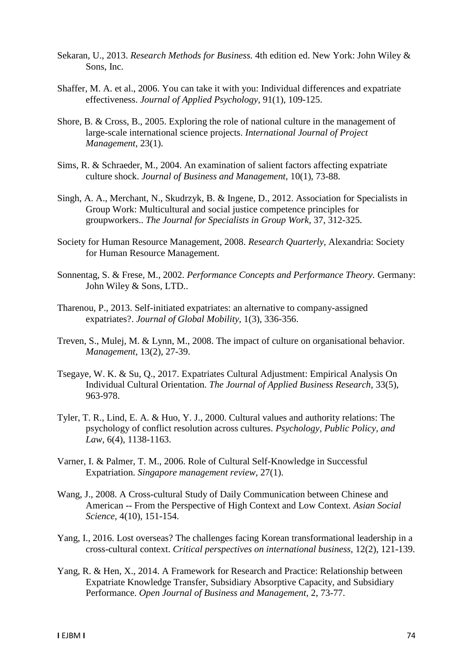- Sekaran, U., 2013. *Research Methods for Business.* 4th edition ed. New York: John Wiley & Sons, Inc.
- Shaffer, M. A. et al., 2006. You can take it with you: Individual differences and expatriate effectiveness. *Journal of Applied Psychology,* 91(1), 109-125.
- Shore, B. & Cross, B., 2005. Exploring the role of national culture in the management of large-scale international science projects. *International Journal of Project Management,* 23(1).
- Sims, R. & Schraeder, M., 2004. An examination of salient factors affecting expatriate culture shock. *Journal of Business and Management,* 10(1), 73-88.
- Singh, A. A., Merchant, N., Skudrzyk, B. & Ingene, D., 2012. Association for Specialists in Group Work: Multicultural and social justice competence principles for groupworkers.. *The Journal for Specialists in Group Work,* 37, 312-325.
- Society for Human Resource Management, 2008. *Research Quarterly,* Alexandria: Society for Human Resource Management.
- Sonnentag, S. & Frese, M., 2002. *Performance Concepts and Performance Theory.* Germany: John Wiley & Sons, LTD..
- Tharenou, P., 2013. Self-initiated expatriates: an alternative to company-assigned expatriates?. *Journal of Global Mobility,* 1(3), 336-356.
- Treven, S., Mulej, M. & Lynn, M., 2008. The impact of culture on organisational behavior. *Management,* 13(2), 27-39.
- Tsegaye, W. K. & Su, Q., 2017. Expatriates Cultural Adjustment: Empirical Analysis On Individual Cultural Orientation. *The Journal of Applied Business Research,* 33(5), 963-978.
- Tyler, T. R., Lind, E. A. & Huo, Y. J., 2000. Cultural values and authority relations: The psychology of conflict resolution across cultures. *Psychology, Public Policy, and Law,* 6(4), 1138-1163.
- Varner, I. & Palmer, T. M., 2006. Role of Cultural Self-Knowledge in Successful Expatriation. *Singapore management review,* 27(1).
- Wang, J., 2008. A Cross-cultural Study of Daily Communication between Chinese and American -- From the Perspective of High Context and Low Context. *Asian Social Science,* 4(10), 151-154.
- Yang, I., 2016. Lost overseas? The challenges facing Korean transformational leadership in a cross-cultural context. *Critical perspectives on international business,* 12(2), 121-139.
- Yang, R. & Hen, X., 2014. A Framework for Research and Practice: Relationship between Expatriate Knowledge Transfer, Subsidiary Absorptive Capacity, and Subsidiary Performance. *Open Journal of Business and Management,* 2, 73-77.